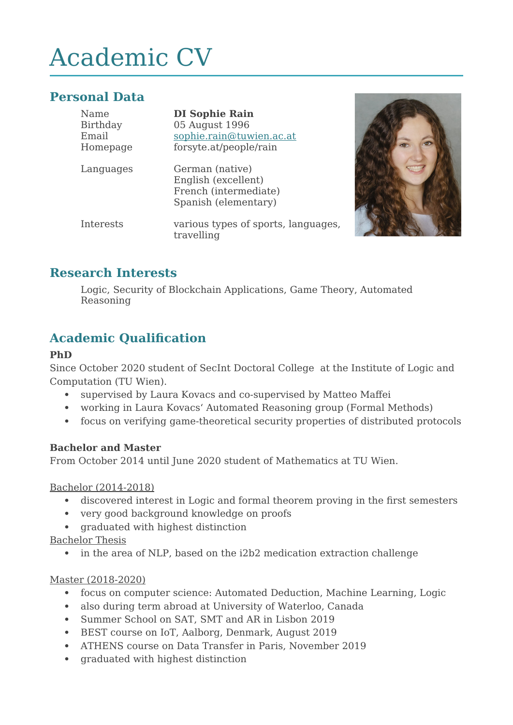# Academic CV

# **Personal Data**

| Name<br>Birthday<br>Email<br>Homepage | <b>DI Sophie Rain</b><br>05 August 1996<br>sophie.rain@tuwien.ac.at<br>forsyte.at/people/rain |
|---------------------------------------|-----------------------------------------------------------------------------------------------|
| Languages                             | German (native)<br>English (excellent)<br>French (intermediate)<br>Spanish (elementary)       |
| Interests                             | various types of sports, languages,<br>travelling                                             |



## **Research Interests**

Logic, Security of Blockchain Applications, Game Theory, Automated Reasoning

# **Academic Qualification**

#### **PhD**

Since October 2020 student of SecInt Doctoral College at the Institute of Logic and Computation (TU Wien).

- supervised by Laura Kovacs and co-supervised by Matteo Maffei
- working in Laura Kovacs' Automated Reasoning group (Formal Methods)
- focus on verifying game-theoretical security properties of distributed protocols

#### **Bachelor and Master**

From October 2014 until June 2020 student of Mathematics at TU Wien.

Bachelor (2014-2018)

- discovered interest in Logic and formal theorem proving in the first semesters
- very good background knowledge on proofs
- graduated with highest distinction

Bachelor Thesis

• in the area of NLP, based on the i2b2 medication extraction challenge

#### Master (2018-2020)

- focus on computer science: Automated Deduction, Machine Learning, Logic
- also during term abroad at University of Waterloo, Canada
- Summer School on SAT, SMT and AR in Lisbon 2019
- BEST course on IoT, Aalborg, Denmark, August 2019
- ATHENS course on Data Transfer in Paris, November 2019
- graduated with highest distinction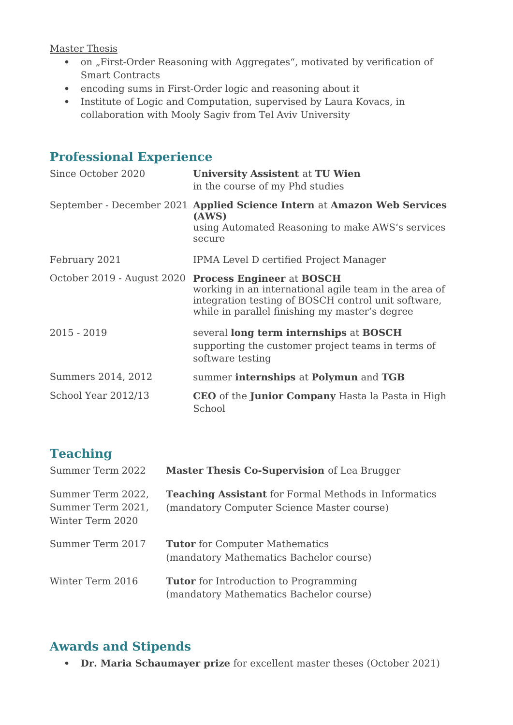#### Master Thesis

- on "First-Order Reasoning with Aggregates", motivated by verification of Smart Contracts
- encoding sums in First-Order logic and reasoning about it
- Institute of Logic and Computation, supervised by Laura Kovacs, in collaboration with Mooly Sagiv from Tel Aviv University

## **Professional Experience**

| Since October 2020         | <b>University Assistent at TU Wien</b><br>in the course of my Phd studies                                                                                                                          |
|----------------------------|----------------------------------------------------------------------------------------------------------------------------------------------------------------------------------------------------|
|                            | September - December 2021 Applied Science Intern at Amazon Web Services<br>(AWS)<br>using Automated Reasoning to make AWS's services<br>secure                                                     |
| February 2021              | IPMA Level D certified Project Manager                                                                                                                                                             |
| October 2019 - August 2020 | <b>Process Engineer at BOSCH</b><br>working in an international agile team in the area of<br>integration testing of BOSCH control unit software,<br>while in parallel finishing my master's degree |
| $2015 - 2019$              | several long term internships at BOSCH<br>supporting the customer project teams in terms of<br>software testing                                                                                    |
| Summers 2014, 2012         | summer internships at Polymun and TGB                                                                                                                                                              |
| School Year 2012/13        | CEO of the Junior Company Hasta la Pasta in High<br>School                                                                                                                                         |

# **Teaching**

| Summer Term 2022                                           | Master Thesis Co-Supervision of Lea Brugger                                                               |
|------------------------------------------------------------|-----------------------------------------------------------------------------------------------------------|
| Summer Term 2022,<br>Summer Term 2021,<br>Winter Term 2020 | <b>Teaching Assistant</b> for Formal Methods in Informatics<br>(mandatory Computer Science Master course) |
| Summer Term 2017                                           | <b>Tutor</b> for Computer Mathematics<br>(mandatory Mathematics Bachelor course)                          |
| Winter Term 2016                                           | <b>Tutor</b> for Introduction to Programming<br>(mandatory Mathematics Bachelor course)                   |

## **Awards and Stipends**

**Dr. Maria Schaumayer prize** for excellent master theses (October 2021)